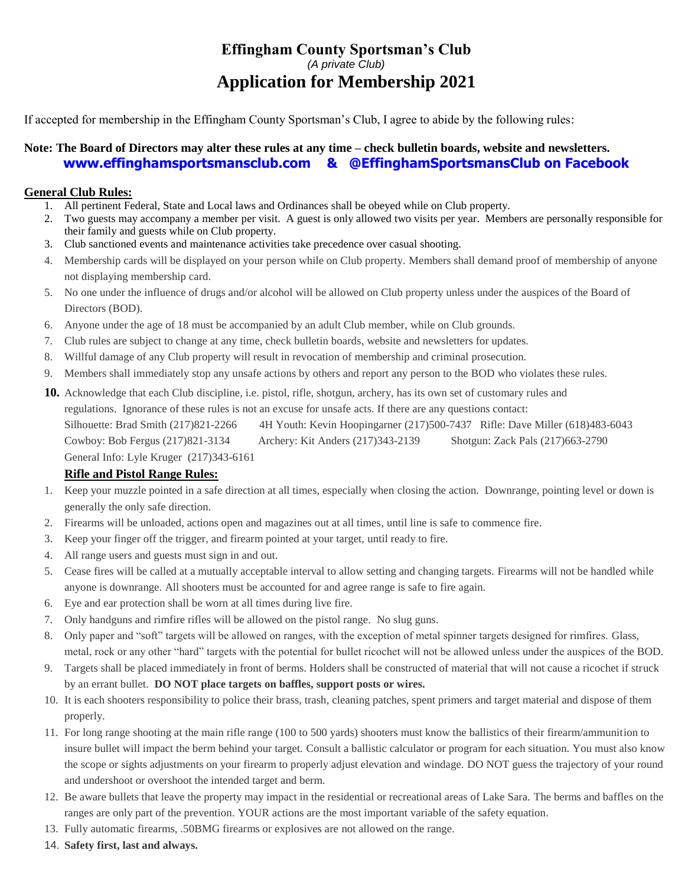# **Effingham County Sportsman's Club** *(A private Club)* **Application for Membership 2021**

If accepted for membership in the Effingham County Sportsman's Club, I agree to abide by the following rules:

### **Note: The Board of Directors may alter these rules at any time – check bulletin boards, website and newsletters. [www.effinghamsportsmansclub.com](http://www.effinghamsportsmansclub.com/) & @EffinghamSportsmansClub on Facebook**

#### **General Club Rules:**

- 1. All pertinent Federal, State and Local laws and Ordinances shall be obeyed while on Club property.
- 2. Two guests may accompany a member per visit. A guest is only allowed two visits per year. Members are personally responsible for their family and guests while on Club property.
- 3. Club sanctioned events and maintenance activities take precedence over casual shooting.
- 4. Membership cards will be displayed on your person while on Club property. Members shall demand proof of membership of anyone not displaying membership card.
- 5. No one under the influence of drugs and/or alcohol will be allowed on Club property unless under the auspices of the Board of Directors (BOD).
- 6. Anyone under the age of 18 must be accompanied by an adult Club member, while on Club grounds.
- 7. Club rules are subject to change at any time, check bulletin boards, website and newsletters for updates.
- 8. Willful damage of any Club property will result in revocation of membership and criminal prosecution.
- 9. Members shall immediately stop any unsafe actions by others and report any person to the BOD who violates these rules.
- **10.** Acknowledge that each Club discipline, i.e. pistol, rifle, shotgun, archery, has its own set of customary rules and

regulations. Ignorance of these rules is not an excuse for unsafe acts. If there are any questions contact:

Silhouette: Brad Smith (217)821-2266 4H Youth: Kevin Hoopingarner (217)500-7437 Rifle: Dave Miller (618)483-6043 Cowboy: Bob Fergus (217)821-3134 Archery: Kit Anders (217)343-2139 Shotgun: Zack Pals (217)663-2790 General Info: Lyle Kruger (217)343-6161

#### **Rifle and Pistol Range Rules:**

- 1. Keep your muzzle pointed in a safe direction at all times, especially when closing the action. Downrange, pointing level or down is generally the only safe direction.
- 2. Firearms will be unloaded, actions open and magazines out at all times, until line is safe to commence fire.
- 3. Keep your finger off the trigger, and firearm pointed at your target, until ready to fire.
- 4. All range users and guests must sign in and out.
- 5. Cease fires will be called at a mutually acceptable interval to allow setting and changing targets. Firearms will not be handled while anyone is downrange. All shooters must be accounted for and agree range is safe to fire again.
- 6. Eye and ear protection shall be worn at all times during live fire.
- 7. Only handguns and rimfire rifles will be allowed on the pistol range. No slug guns.
- 8. Only paper and "soft" targets will be allowed on ranges, with the exception of metal spinner targets designed for rimfires. Glass, metal, rock or any other "hard" targets with the potential for bullet ricochet will not be allowed unless under the auspices of the BOD.
- 9. Targets shall be placed immediately in front of berms. Holders shall be constructed of material that will not cause a ricochet if struck by an errant bullet. **DO NOT place targets on baffles, support posts or wires.**
- 10. It is each shooters responsibility to police their brass, trash, cleaning patches, spent primers and target material and dispose of them properly.
- 11. For long range shooting at the main rifle range (100 to 500 yards) shooters must know the ballistics of their firearm/ammunition to insure bullet will impact the berm behind your target. Consult a ballistic calculator or program for each situation. You must also know the scope or sights adjustments on your firearm to properly adjust elevation and windage. DO NOT guess the trajectory of your round and undershoot or overshoot the intended target and berm.
- 12. Be aware bullets that leave the property may impact in the residential or recreational areas of Lake Sara. The berms and baffles on the ranges are only part of the prevention. YOUR actions are the most important variable of the safety equation.
- 13. Fully automatic firearms, .50BMG firearms or explosives are not allowed on the range.
- 14. **Safety first, last and always.**